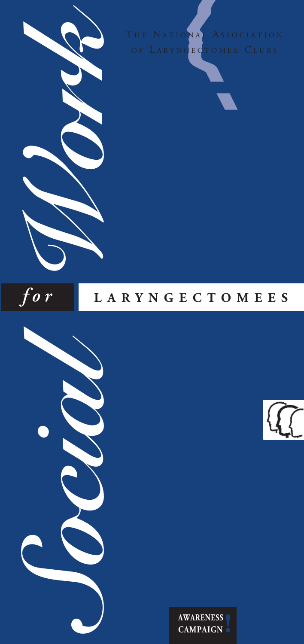THE NATIONAL ASSOCIATION OF LARYNGECTOMEE CLUBS





# *f o r* **<sup>L</sup> <sup>A</sup> <sup>R</sup> <sup>Y</sup> <sup>N</sup> <sup>G</sup> <sup>E</sup> <sup>C</sup> <sup>T</sup> <sup>O</sup> <sup>M</sup> <sup>E</sup> <sup>E</sup> <sup>S</sup>**





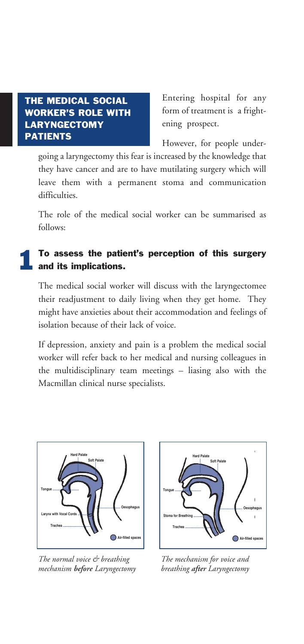### **THE MEDICAL SOCIAL WORKER'S ROLE WITH LARYNGECTOMY PATIENTS**

Entering hospital for any form of treatment is a frightening prospect.

However, for people under-

going a laryngectomy this fear is increased by the knowledge that they have cancer and are to have mutilating surgery which will leave them with a permanent stoma and communication difficulties.

The role of the medical social worker can be summarised as follows:

#### **To assess the patient's perception of this surgery and its implications. 1**

The medical social worker will discuss with the laryngectomee their readjustment to daily living when they get home. They might have anxieties about their accommodation and feelings of isolation because of their lack of voice.

If depression, anxiety and pain is a problem the medical social worker will refer back to her medical and nursing colleagues in the multidisciplinary team meetings – liasing also with the Macmillan clinical nurse specialists.



*The normal voice & breathing mechanism before Laryngectomy*



*The mechanism for voice and breathing after Laryngectomy*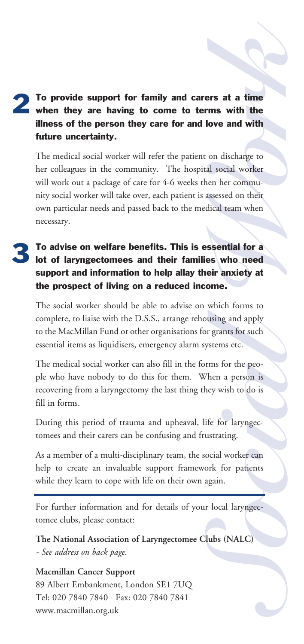## when they are having to come to terms with the To provide support for family and carers at a time **k illness of the person they care for and love and with future uncertainty. 2**

**ers at a time**<br> **love and with the**<br> **love and with**<br>
on discharge to<br>
al social worker<br>
en her commu-<br>
assessed on their<br>
dical team when<br> **sssential for a**<br> **es who need<br>
eir anxiety at**<br>
ome. The medical social worker will refer the patient on discharge to her colleagues in the community. The hospital social worker will work out a package of care for 4-6 weeks then her community social worker will take over, each patient is assessed on their own particular needs and passed back to the medical team when necessary.

### **To advise on welfare benefits. This is essential for a lot of laryngectomees and their families who need support and information to help allay their anxiety at the prospect of living on a reduced income. 3**

The social worker should be able to advise on which forms to complete, to liaise with the D.S.S., arrange rehousing and apply to the MacMillan Fund or other organisations for grants for such essential items as liquidisers, emergency alarm systems etc.

For a property of starting and apply<br>
Society and apply<br>
Society and a person is<br>
Social worker can<br>
Social worker can<br>
Social worker can<br>
Social worker can<br>
Social worker can<br>
Social worker can<br>
Social worker can<br>
Social The medical social worker can also fill in the forms for the people who have nobody to do this for them. When a person is recovering from a laryngectomy the last thing they wish to do is fill in forms.

During this period of trauma and upheaval, life for laryngectomees and their carers can be confusing and frustrating.

As a member of a multi-disciplinary team, the social worker can help to create an invaluable support framework for patients while they learn to cope with life on their own again.

For further information and for details of your local laryngectomee clubs, please contact:

**The National Association of Laryngectomee Clubs (NALC)** *- See address on back page.*

## **Macmillan Cancer Support** 89 Albert Embankment, London SE1 7UQ Tel: 020 7840 7840 Fax: 020 7840 7841 www.macmillan.org.uk